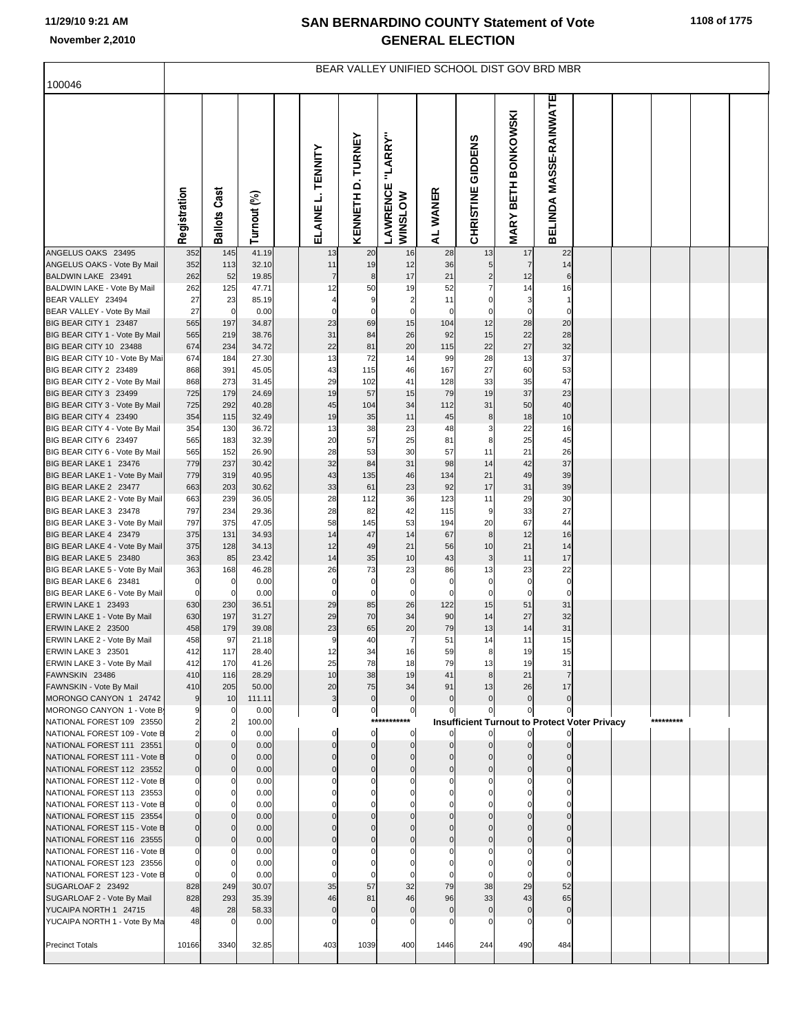## **11/29/10 9:21 AM**

## **SAN BERNARDINO COUNTY Statement of Vote November 2,2010 GENERAL ELECTION**

|                                                           | BEAR VALLEY UNIFIED SCHOOL DIST GOV BRD MBR |                       |                |  |                      |                   |                                       |                      |                     |                                                      |                        |  |  |           |  |
|-----------------------------------------------------------|---------------------------------------------|-----------------------|----------------|--|----------------------|-------------------|---------------------------------------|----------------------|---------------------|------------------------------------------------------|------------------------|--|--|-----------|--|
| 100046                                                    |                                             |                       |                |  |                      |                   |                                       |                      |                     |                                                      |                        |  |  |           |  |
|                                                           | Registration                                | <b>Ballots Cast</b>   | Turnout (%)    |  | ELAINE L. TENNITY    | KENNETH D. TURNEY | "LARRY"<br>LAWRENCE<br><b>WINSLOW</b> | AL WANER             | CHRISTINE GIDDENS   | <b>MARY BETH BONKOWSKI</b>                           | BELINDA MASSE-RAINWATE |  |  |           |  |
| ANGELUS OAKS 23495                                        | 352                                         | 145                   | 41.19          |  | 13                   | 20                | 16                                    | 28                   | 13                  | 17                                                   | 22                     |  |  |           |  |
| ANGELUS OAKS - Vote By Mail<br>BALDWIN LAKE 23491         | 352<br>262                                  | 113<br>52             | 32.10<br>19.85 |  | 11<br>$\overline{7}$ | 19<br>$\bf8$      | 12<br>17                              | 36<br>21             | 5<br>$\overline{c}$ | $\overline{7}$<br>12                                 | 14                     |  |  |           |  |
| BALDWIN LAKE - Vote By Mail                               | 262                                         | 125                   | 47.71          |  | 12                   | 50                | 19                                    | 52                   | $\overline{7}$      | 14                                                   | 16                     |  |  |           |  |
| BEAR VALLEY 23494                                         | 27                                          | 23                    | 85.19          |  | $\overline{4}$       | 9                 | $\overline{2}$                        | 11                   | $\pmb{0}$           | 3                                                    | $\overline{1}$         |  |  |           |  |
| BEAR VALLEY - Vote By Mail                                | 27                                          | $\overline{0}$        | 0.00           |  | $\mathbf 0$          | $\mathbf 0$       | $\mathbf 0$                           | $\mathbf 0$          | 0                   | $\mathbf 0$                                          | C                      |  |  |           |  |
| BIG BEAR CITY 1 23487<br>BIG BEAR CITY 1 - Vote By Mail   | 565<br>565                                  | 197<br>219            | 34.87<br>38.76 |  | 23<br>31             | 69<br>84          | 15<br>26                              | 104<br>92            | 12<br>15            | 28<br>22                                             | 20<br>28               |  |  |           |  |
| BIG BEAR CITY 10 23488                                    | 674                                         | 234                   | 34.72          |  | 22                   | 81                | 20                                    | 115                  | 22                  | 27                                                   | 32                     |  |  |           |  |
| BIG BEAR CITY 10 - Vote By Mai                            | 674                                         | 184                   | 27.30          |  | 13                   | 72                | 14                                    | 99                   | 28                  | 13                                                   | 37                     |  |  |           |  |
| BIG BEAR CITY 2 23489                                     | 868                                         | 391                   | 45.05          |  | 43                   | 115               | 46                                    | 167                  | 27                  | 60                                                   | 53                     |  |  |           |  |
| BIG BEAR CITY 2 - Vote By Mail                            | 868                                         | 273                   | 31.45          |  | 29                   | 102               | 41                                    | 128                  | 33                  | 35                                                   | 47                     |  |  |           |  |
| BIG BEAR CITY 3 23499<br>BIG BEAR CITY 3 - Vote By Mail   | 725<br>725                                  | 179<br>292            | 24.69<br>40.28 |  | 19<br>45             | 57<br>104         | 15<br>34                              | 79<br>112            | 19<br>31            | 37<br>50                                             | 23<br>40               |  |  |           |  |
| BIG BEAR CITY 4 23490                                     | 354                                         | 115                   | 32.49          |  | 19                   | 35                | 11                                    | 45                   | 8                   | 18                                                   | 10                     |  |  |           |  |
| BIG BEAR CITY 4 - Vote By Mail                            | 354                                         | 130                   | 36.72          |  | 13                   | 38                | 23                                    | 48                   | 3                   | 22                                                   | 16                     |  |  |           |  |
| BIG BEAR CITY 6 23497                                     | 565                                         | 183                   | 32.39          |  | 20                   | 57                | 25                                    | 81                   | 8                   | 25                                                   | 45                     |  |  |           |  |
| BIG BEAR CITY 6 - Vote By Mail                            | 565                                         | 152                   | 26.90          |  | 28                   | 53                | 30                                    | 57                   | 11                  | 21                                                   | 26                     |  |  |           |  |
| BIG BEAR LAKE 1 23476<br>BIG BEAR LAKE 1 - Vote By Mail   | 779<br>779                                  | 237<br>319            | 30.42<br>40.95 |  | 32<br>43             | 84<br>135         | 31<br>46                              | 98<br>134            | 14<br>21            | 42<br>49                                             | 37<br>39               |  |  |           |  |
| BIG BEAR LAKE 2 23477                                     | 663                                         | 203                   | 30.62          |  | 33                   | 61                | 23                                    | 92                   | 17                  | 31                                                   | 39                     |  |  |           |  |
| BIG BEAR LAKE 2 - Vote By Mail                            | 663                                         | 239                   | 36.05          |  | 28                   | 112               | 36                                    | 123                  | 11                  | 29                                                   | 30                     |  |  |           |  |
| BIG BEAR LAKE 3 23478                                     | 797                                         | 234                   | 29.36          |  | 28                   | 82                | 42                                    | 115                  | 9                   | 33                                                   | 27                     |  |  |           |  |
| BIG BEAR LAKE 3 - Vote By Mail                            | 797                                         | 375                   | 47.05          |  | 58                   | 145               | 53                                    | 194                  | 20                  | 67                                                   | 44                     |  |  |           |  |
| BIG BEAR LAKE 4 23479<br>BIG BEAR LAKE 4 - Vote By Mail   | 375<br>375                                  | 131<br>128            | 34.93<br>34.13 |  | 14<br>12             | 47<br>49          | 14<br>21                              | 67<br>56             | 8<br>10             | 12<br>21                                             | 16<br>14               |  |  |           |  |
| BIG BEAR LAKE 5 23480                                     | 363                                         | 85                    | 23.42          |  | 14                   | 35                | 10                                    | 43                   | $\mathbf{3}$        | 11                                                   | 17                     |  |  |           |  |
| BIG BEAR LAKE 5 - Vote By Mail                            | 363                                         | 168                   | 46.28          |  | 26                   | 73                | 23                                    | 86                   | 13                  | 23                                                   | 22                     |  |  |           |  |
| BIG BEAR LAKE 6 23481                                     | $\mathbb{C}$                                | 0                     | 0.00           |  | $\pmb{0}$            | $\pmb{0}$         | $\mathbf 0$                           | $\mathbf 0$          | $\mathbf 0$         | $\mathbf 0$                                          | $\mathsf{C}$           |  |  |           |  |
| BIG BEAR LAKE 6 - Vote By Mail<br>ERWIN LAKE 1 23493      | $\pmb{0}$<br>630                            | $\overline{0}$<br>230 | 0.00<br>36.51  |  | $\pmb{0}$<br>29      | $\mathbf 0$<br>85 | $\mathbf 0$<br>26                     | $\mathbf 0$<br>122   | $\pmb{0}$<br>15     | $\mathbf 0$<br>51                                    | $\mathsf{C}$<br>31     |  |  |           |  |
| ERWIN LAKE 1 - Vote By Mail                               | 630                                         | 197                   | 31.27          |  | 29                   | 70                | 34                                    | 90                   | 14                  | 27                                                   | 32                     |  |  |           |  |
| ERWIN LAKE 2 23500                                        | 458                                         | 179                   | 39.08          |  | 23                   | 65                | 20                                    | 79                   | 13                  | 14                                                   | 31                     |  |  |           |  |
| ERWIN LAKE 2 - Vote By Mail                               | 458                                         | 97                    | 21.18          |  | 9                    | 40                | $\overline{7}$                        | 51                   | 14                  | 11                                                   | 15                     |  |  |           |  |
| ERWIN LAKE 3 23501                                        | 412                                         | 117                   | 28.40          |  | 12                   | 34                | 16                                    | 59                   | 8                   | 19                                                   | 15                     |  |  |           |  |
| ERWIN LAKE 3 - Vote By Mail<br>FAWNSKIN 23486             | 412<br>410                                  | 170<br>116            | 41.26<br>28.29 |  | 25<br>10             | 78<br>38          | 18<br>19                              | 79<br>41             | 13<br>8             | 19<br>21                                             | 31                     |  |  |           |  |
| FAWNSKIN - Vote By Mail                                   | 410                                         | 205                   | 50.00          |  | 20                   | 75                | 34                                    | 91                   | 13                  | 26                                                   | 17                     |  |  |           |  |
| MORONGO CANYON 1 24742                                    | 9                                           | 10                    | 111.11         |  | $\mathbf{3}$         | $\pmb{0}$         | $\mathbf 0$                           | $\mathbf 0$          | $\mathbf 0$         | $\Omega$                                             | $\Omega$               |  |  |           |  |
| MORONGO CANYON 1 - Vote B                                 | 9                                           | $\mathbf 0$           | 0.00           |  | $\boldsymbol{0}$     | $\pmb{0}$         | $\mathbf 0$                           | 0                    | 0                   | 0                                                    | $\Omega$               |  |  |           |  |
| NATIONAL FOREST 109 23550<br>NATIONAL FOREST 109 - Vote B | $\overline{2}$<br>$\overline{2}$            | $\overline{2}$<br>0   | 100.00<br>0.00 |  | 0                    | $\mathbf 0$       | ***********<br>$\mathbf 0$            |                      |                     | <b>Insufficient Turnout to Protect Voter Privacy</b> |                        |  |  | ********* |  |
| NATIONAL FOREST 111 23551                                 | $\mathbf 0$                                 | $\mathbf 0$           | 0.00           |  | $\Omega$             | $\mathbf 0$       | $\circ$                               | $\mathbf 0$          | $\mathbf 0$         |                                                      |                        |  |  |           |  |
| NATIONAL FOREST 111 - Vote B                              | $\mathbf 0$                                 | $\overline{0}$        | 0.00           |  | $\Omega$             | $\Omega$          | $\mathbf 0$                           | $\Omega$             |                     |                                                      |                        |  |  |           |  |
| NATIONAL FOREST 112 23552                                 | $\mathbf 0$                                 | $\overline{0}$        | 0.00           |  | $\Omega$             | $\Omega$          | $\Omega$                              | $\Omega$             | $\Omega$            |                                                      |                        |  |  |           |  |
| NATIONAL FOREST 112 - Vote B<br>NATIONAL FOREST 113 23553 | O<br>$\mathbf 0$                            | 0<br>$\mathbf 0$      | 0.00<br>0.00   |  | C<br>$\mathcal{C}$   | C<br>$\sqrt{ }$   | $\Omega$                              | 0<br>$\Omega$        | 0                   |                                                      |                        |  |  |           |  |
| NATIONAL FOREST 113 - Vote B                              | $\mathbf 0$                                 | $\mathbf 0$           | 0.00           |  |                      |                   |                                       | 0                    |                     |                                                      |                        |  |  |           |  |
| NATIONAL FOREST 115 23554                                 | $\mathbf{0}$                                | $\mathbf 0$           | 0.00           |  |                      |                   |                                       | $\Omega$             |                     |                                                      |                        |  |  |           |  |
| NATIONAL FOREST 115 - Vote B                              | $\mathbf 0$                                 | $\mathbf{0}$          | 0.00           |  |                      |                   |                                       | $\Omega$             |                     |                                                      |                        |  |  |           |  |
| NATIONAL FOREST 116 23555                                 | $\mathbf 0$                                 | $\overline{0}$        | 0.00           |  | $\Omega$             | $\Omega$          | $\Omega$                              | $\mathbf 0$          | $\Omega$            | $\mathcal{C}$                                        |                        |  |  |           |  |
| NATIONAL FOREST 116 - Vote B                              | $\Omega$<br>$\mathbf 0$                     | 0<br>$\Omega$         | 0.00<br>0.00   |  | C<br>$\sqrt{ }$      | $\mathcal{C}$     |                                       | $\Omega$<br>$\Omega$ |                     |                                                      |                        |  |  |           |  |
| NATIONAL FOREST 123 23556<br>NATIONAL FOREST 123 - Vote B | $\Omega$                                    |                       | 0.00           |  |                      |                   |                                       | $\Omega$             |                     |                                                      |                        |  |  |           |  |
| SUGARLOAF 2 23492                                         | 828                                         | 249                   | 30.07          |  | 35                   | 57                | 32                                    | 79                   | 38                  | 29                                                   | 52                     |  |  |           |  |
| SUGARLOAF 2 - Vote By Mail                                | 828                                         | 293                   | 35.39          |  | 46                   | 81                | 46                                    | 96                   | 33                  | 43                                                   | 65                     |  |  |           |  |
| YUCAIPA NORTH 1 24715                                     | 48                                          | 28                    | 58.33          |  | $\mathbf 0$          | $\mathbf 0$       | $\mathbf 0$                           | $\mathbf 0$          | $\mathbf 0$         | $\Omega$                                             | $\sqrt{ }$             |  |  |           |  |
| YUCAIPA NORTH 1 - Vote By Ma                              | 48                                          | 0                     | 0.00           |  | C                    | $\mathsf{C}$      | $\Omega$                              | $\Omega$             | $\Omega$            |                                                      |                        |  |  |           |  |
| <b>Precinct Totals</b>                                    | 10166                                       | 3340                  | 32.85          |  | 403                  | 1039              | 400                                   | 1446                 | 244                 | 490                                                  | 484                    |  |  |           |  |
|                                                           |                                             |                       |                |  |                      |                   |                                       |                      |                     |                                                      |                        |  |  |           |  |